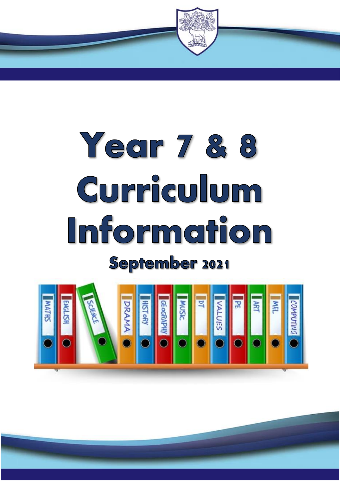

# Year 7 & 8 Curriculum Information September 2021

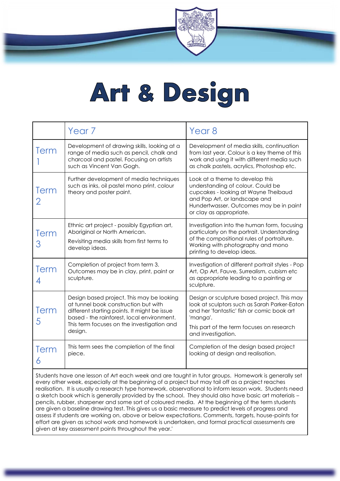### Art & Design

|             | Year <sub>7</sub>                                                                                                                                                                                                                        | Year <sub>8</sub>                                                                                                                                                                                                        |
|-------------|------------------------------------------------------------------------------------------------------------------------------------------------------------------------------------------------------------------------------------------|--------------------------------------------------------------------------------------------------------------------------------------------------------------------------------------------------------------------------|
| <b>Term</b> | Development of drawing skills, looking at a<br>range of media such as pencil, chalk and<br>charcoal and pastel. Focusing on artists<br>such as Vincent Van Gogh.                                                                         | Development of media skills, continuation<br>from last year. Colour is a key theme of this<br>work and using it with different media such<br>as chalk pastels, acrylics, Photoshop etc.                                  |
| <b>Term</b> | Further development of media techniques<br>such as inks, oil pastel mono print, colour<br>theory and poster paint.                                                                                                                       | Look at a theme to develop this<br>understanding of colour. Could be<br>cupcakes - looking at Wayne Theibaud<br>and Pop Art, or landscape and<br>Hundertwasser. Outcomes may be in paint<br>or clay as appropriate.      |
| Term<br>З   | Ethnic art project - possibly Egyptian art,<br>Aboriginal or North American.<br>Revisiting media skills from first terms to<br>develop ideas.                                                                                            | Investigation into the human form, focusing<br>particularly on the portrait. Understanding<br>of the compositional rules of portraiture.<br>Working with photography and mono<br>printing to develop ideas.              |
| <b>Term</b> | Completion of project from term 3.<br>Outcomes may be in clay, print, paint or<br>sculpture.                                                                                                                                             | Investigation of different portrait styles - Pop<br>Art, Op Art, Fauve, Surrealism, cubism etc<br>as appropriate leading to a painting or<br>sculpture.                                                                  |
| Term<br>5   | Design based project. This may be looking<br>at tunnel book construction but with<br>different starting points. It might be issue<br>based - the rainforest, local environment.<br>This term focuses on the investigation and<br>design. | Design or sculpture based project. This may<br>look at sculptors such as Sarah Parker-Eaton<br>and her 'fantastic' fish or comic book art<br>'manga'.<br>This part of the term focuses on research<br>and investigation. |
| Term        | This term sees the completion of the final<br>piece.                                                                                                                                                                                     | Completion of the design based project<br>looking at design and realisation.                                                                                                                                             |

Students have one lesson of Art each week and are taught in tutor groups. Homework is generally set every other week, especially at the beginning of a project but may tail off as a project reaches realisation. It is usually a research type homework, observational to inform lesson work. Students need a sketch book which is generally provided by the school. They should also have basic art materials – pencils, rubber, sharpener and some sort of coloured media. At the beginning of the term students are given a baseline drawing test. This gives us a basic measure to predict levels of progress and assess if students are working on, above or below expectations. Comments, targets, house-points for effort are given as school work and homework is undertaken, and formal practical assessments are given at key assessment points throughout the year.'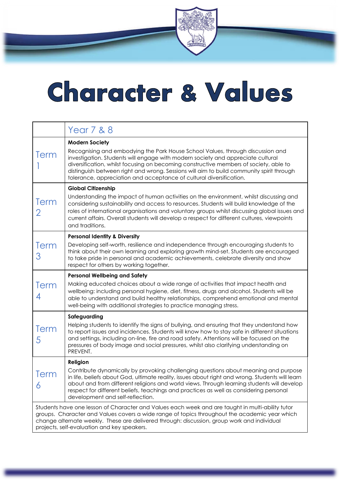### Character & Values

|             | <b>Year 7 &amp; 8</b>                                                                                                                                                                                                                                                                                                                                                                                                                                  |
|-------------|--------------------------------------------------------------------------------------------------------------------------------------------------------------------------------------------------------------------------------------------------------------------------------------------------------------------------------------------------------------------------------------------------------------------------------------------------------|
| <b>Term</b> | <b>Modern Society</b><br>Recognising and embodying the Park House School Values, through discussion and<br>investigation. Students will engage with modern society and appreciate cultural<br>diversification, whilst focusing on becoming constructive members of society, able to<br>distinguish between right and wrong. Sessions will aim to build community spirit through<br>tolerance, appreciation and acceptance of cultural diversification. |
| Term<br>2   | <b>Global Citizenship</b><br>Understanding the impact of human activities on the environment, whilst discussing and<br>considering sustainability and access to resources. Students will build knowledge of the<br>roles of international organisations and voluntary groups whilst discussing global issues and<br>current affairs. Overall students will develop a respect for different cultures, viewpoints<br>and traditions.                     |
| Term<br>З   | <b>Personal Identity &amp; Diversity</b><br>Developing self-worth, resilience and independence through encouraging students to<br>think about their own learning and exploring growth mind-set. Students are encouraged<br>to take pride in personal and academic achievements, celebrate diversity and show<br>respect for others by working together.                                                                                                |
| Term<br>4   | <b>Personal Wellbeing and Safety</b><br>Making educated choices about a wide range of activities that impact health and<br>wellbeing: including personal hygiene, diet, fitness, drugs and alcohol. Students will be<br>able to understand and build healthy relationships, comprehend emotional and mental<br>well-being with additional strategies to practice managing stress.                                                                      |
| Term<br>5   | Safeguarding<br>Helping students to identify the signs of bullying, and ensuring that they understand how<br>to report issues and incidences. Students will know how to stay safe in different situations<br>and settings, including on-line, fire and road safety. Attentions will be focused on the<br>pressures of body image and social pressures, whilst also clarifying understanding on<br>PREVENT.                                             |
| Term<br>6   | Religion<br>Contribute dynamically by provoking challenging questions about meaning and purpose<br>in life, beliefs about God, ultimate reality, issues about right and wrong. Students will learn<br>about and from different religions and world views. Through learning students will develop<br>respect for different beliefs, teachings and practices as well as considering personal<br>development and self-reflection.                         |
|             | Students have one lesson of Character and Values each week and are taught in multi-ability tutor<br>groups. Character and Values covers a wide range of topics throughout the academic year which<br>change alternate weekly. These are delivered through: discussion, group work and individual<br>projects, self-evaluation and key speakers.                                                                                                        |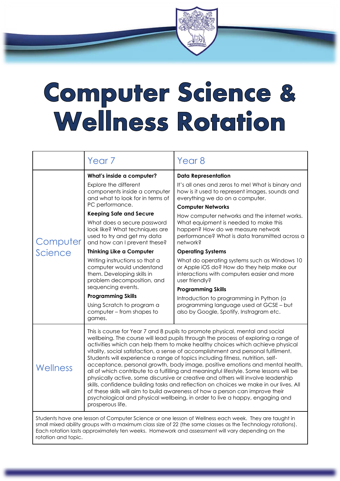### Computer Science & **Wellness Rotation**

|                                                                                                                                                                                                                                                                                                                                             | Year <sub>7</sub>                                                                                                                                                                                                                                                                                                                                                                                                                                                                                                                                                                                                                                                                                                                                                                                                                                                                                                                                                         | Year <sub>8</sub>                                                                                                                                                                                                                                                                                                                                                                                                                                                                                                                                                                                                                                                                                                                                        |
|---------------------------------------------------------------------------------------------------------------------------------------------------------------------------------------------------------------------------------------------------------------------------------------------------------------------------------------------|---------------------------------------------------------------------------------------------------------------------------------------------------------------------------------------------------------------------------------------------------------------------------------------------------------------------------------------------------------------------------------------------------------------------------------------------------------------------------------------------------------------------------------------------------------------------------------------------------------------------------------------------------------------------------------------------------------------------------------------------------------------------------------------------------------------------------------------------------------------------------------------------------------------------------------------------------------------------------|----------------------------------------------------------------------------------------------------------------------------------------------------------------------------------------------------------------------------------------------------------------------------------------------------------------------------------------------------------------------------------------------------------------------------------------------------------------------------------------------------------------------------------------------------------------------------------------------------------------------------------------------------------------------------------------------------------------------------------------------------------|
| Computer<br>Science                                                                                                                                                                                                                                                                                                                         | What's inside a computer?<br>Explore the different<br>components inside a computer<br>and what to look for in terms of<br>PC performance.<br><b>Keeping Safe and Secure</b><br>What does a secure password<br>look like? What techniques are<br>used to try and get my data<br>and how can I prevent these?<br><b>Thinking Like a Computer</b><br>Writing instructions so that a<br>computer would understand<br>them. Developing skills in<br>problem decomposition, and<br>sequencing events.<br><b>Programming Skills</b><br>Using Scratch to program a<br>computer - from shapes to<br>games.                                                                                                                                                                                                                                                                                                                                                                         | <b>Data Representation</b><br>It's all ones and zeros to me! What is binary and<br>how is it used to represent images, sounds and<br>everything we do on a computer.<br><b>Computer Networks</b><br>How computer networks and the internet works.<br>What equipment is needed to make this<br>happen? How do we measure network<br>performance? What is data transmitted across a<br>network?<br><b>Operating Systems</b><br>What do operating systems such as Windows 10<br>or Apple iOS do? How do they help make our<br>interactions with computers easier and more<br>user friendly?<br><b>Programming Skills</b><br>Introduction to programming in Python (a<br>programming language used at GCSE - but<br>also by Google, Spotify, Instragram etc. |
| Wellness                                                                                                                                                                                                                                                                                                                                    | This is course for Year 7 and 8 pupils to promote physical, mental and social<br>wellbeing. The course will lead pupils through the process of exploring a range of<br>activities which can help them to make healthy choices which achieve physical<br>vitality, social satisfaction, a sense of accomplishment and personal fulfilment.<br>Students will experience a range of topics including fitness, nutrition, self-<br>acceptance, personal growth, body image, positive emotions and mental health,<br>all of which contribute to a fulfilling and meaningful lifestyle. Some lessons will be<br>physically active, some discursive or creative and others will involve leadership<br>skills, confidence building tasks and reflection on choices we make in our lives. All<br>of these skills will aim to build awareness of how a person can improve their<br>psychological and physical wellbeing, in order to live a happy, engaging and<br>prosperous life. |                                                                                                                                                                                                                                                                                                                                                                                                                                                                                                                                                                                                                                                                                                                                                          |
| Students have one lesson of Computer Science or one lesson of Wellness each week. They are taught in<br>small mixed ability groups with a maximum class size of 22 (the same classes as the Technology rotations).<br>Each rotation lasts approximately ten weeks. Homework and assessment will vary depending on the<br>rotation and topic |                                                                                                                                                                                                                                                                                                                                                                                                                                                                                                                                                                                                                                                                                                                                                                                                                                                                                                                                                                           |                                                                                                                                                                                                                                                                                                                                                                                                                                                                                                                                                                                                                                                                                                                                                          |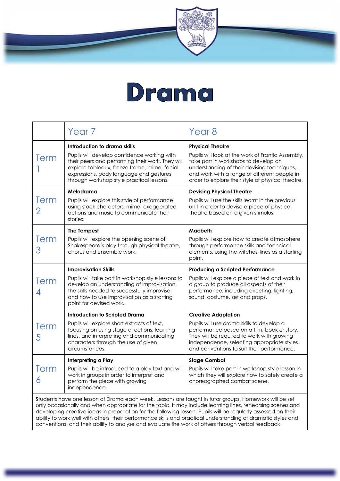

|           | Year <sub>7</sub>                                                                                                                                                                                                                                                       | Year 8                                                                                                                                                                                                                                                                   |
|-----------|-------------------------------------------------------------------------------------------------------------------------------------------------------------------------------------------------------------------------------------------------------------------------|--------------------------------------------------------------------------------------------------------------------------------------------------------------------------------------------------------------------------------------------------------------------------|
| Term      | Introduction to drama skills<br>Pupils will develop confidence working with<br>their peers and performing their work. They will<br>explore tableaux, freeze frame, mime, facial<br>expressions, body language and gestures<br>through workshop style practical lessons. | <b>Physical Theatre</b><br>Pupils will look at the work of Frantic Assembly,<br>take part in workshops to develop an<br>understanding of their devising techniques,<br>and work with a range of different people in<br>order to explore their style of physical theatre. |
| Term      | Melodrama<br>Pupils will explore this style of performance<br>using stock characters, mime, exaggerated<br>actions and music to communicate their<br>stories.                                                                                                           | <b>Devising Physical Theatre</b><br>Pupils will use the skills learnt in the previous<br>unit in order to devise a piece of physical<br>theatre based on a given stimulus.                                                                                               |
| Term<br>З | <b>The Tempest</b><br>Pupils will explore the opening scene of<br>Shakespeare's play through physical theatre,<br>chorus and ensemble work.                                                                                                                             | Macbeth<br>Pupils will explore how to create atmosphere<br>through performance skills and technical<br>elements, using the witches' lines as a starting<br>point.                                                                                                        |
| Term      | <b>Improvisation Skills</b><br>Pupils will take part in workshop style lessons to<br>develop an understanding of improvisation,<br>the skills needed to successfully improvise,<br>and how to use improvisation as a starting<br>point for devised work.                | <b>Producing a Scripted Performance</b><br>Pupils will explore a piece of text and work in<br>a group to produce all aspects of their<br>performance, including directing, lighting,<br>sound, costume, set and props.                                                   |
| Term<br>5 | <b>Introduction to Scripted Drama</b><br>Pupils will explore short extracts of text,<br>focusing on using stage directions, learning<br>lines, and interpreting and communicating<br>characters through the use of given<br>circumstances.                              | <b>Creative Adaptation</b><br>Pupils will use drama skills to develop a<br>performance based on a film, book or story.<br>They will be required to work with growing<br>independence, selecting appropriate styles<br>and conventions to suit their performance.         |
| Term<br>6 | Interpreting a Play<br>Pupils will be introduced to a play text and will<br>work in groups in order to interpret and<br>perform the piece with growing<br>independence.                                                                                                 | <b>Stage Combat</b><br>Pupils will take part in workshop style lesson in<br>which they will explore how to safely create a<br>choreographed combat scene.<br>بالمناور والمسارا الأمرين والمتواد والمستوي والملاز<br>المرداد مرتبط المرابط المستقط المرابط والمحارب       |

Students have one lesson of Drama each week. Lessons are taught in tutor groups. Homework will be set only occasionally and when appropriate for the topic. It may include learning lines, rehearsing scenes and developing creative ideas in preparation for the following lesson. Pupils will be regularly assessed on their ability to work well with others, their performance skills and practical understanding of dramatic styles and conventions, and their ability to analyse and evaluate the work of others through verbal feedback.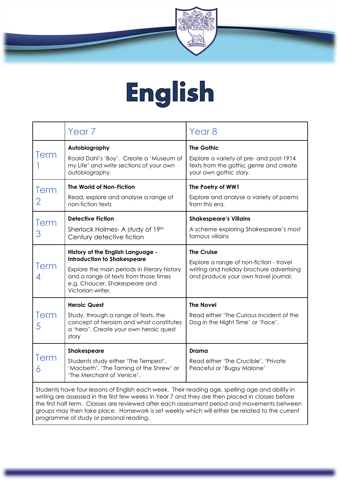

### English

|                                                                                                 | Year <sub>7</sub>                                                                                                                                                                                                      | Year 8                                                                                                                                           |
|-------------------------------------------------------------------------------------------------|------------------------------------------------------------------------------------------------------------------------------------------------------------------------------------------------------------------------|--------------------------------------------------------------------------------------------------------------------------------------------------|
| Term                                                                                            | Autobiography<br>Roald Dahl's 'Boy'. Create a 'Museum of<br>my Life' and write sections of your own<br>autobiography                                                                                                   | <b>The Gothic</b><br>Explore a variety of pre- and post-1914<br>texts from the gothic genre and create<br>your own gothic story.                 |
| Term<br>2                                                                                       | The World of Non-Fiction<br>Read, explore and analyse a range of<br>non-fiction texts                                                                                                                                  | The Poetry of WW1<br>Explore and analyse a variety of poems<br>from this era.                                                                    |
| Term<br>З                                                                                       | <b>Detective Fiction</b><br>Sherlock Holmes- A study of 19th<br>Century detective fiction                                                                                                                              | <b>Shakespeare's Villains</b><br>A scheme exploring Shakespeare's most<br>famous villains                                                        |
| Term                                                                                            | History of the English Language -<br><b>Introduction to Shakespeare</b><br>Explore the main periods in literary history<br>and a range of texts from those times<br>e.g. Chaucer, Shakespeare and<br>Victorian writer. | <b>The Cruise</b><br>Explore a range of non-fiction - travel<br>writing and holiday brochure advertising<br>and produce your own travel journal. |
| Term<br>5                                                                                       | <b>Heroic Quest</b><br>Study, through a range of texts, the<br>concept of heroism and what constitutes<br>a 'hero'. Create your own heroic quest<br>story                                                              | <b>The Novel</b><br>Read either 'The Curious Incident of the<br>Dog in the Night Time' or 'Face'.                                                |
| Term<br>6                                                                                       | <b>Shakespeare</b><br>Students study either 'The Tempest',<br>'Macbeth', 'The Taming of the Shrew' or<br>'The Merchant of Venice'.                                                                                     | Drama<br>Read either 'The Crucible', 'Private<br>Peaceful or 'Bugsy Malone'                                                                      |
| Students have four lessons of English each week. Their reading age, spelling age and ability in |                                                                                                                                                                                                                        |                                                                                                                                                  |

writing are assessed in the first few weeks in Year 7 and they are then placed in classes before the first half term. Classes are reviewed after each assessment period and movements between groups may then take place. Homework is set weekly which will either be related to the current programme of study or personal reading.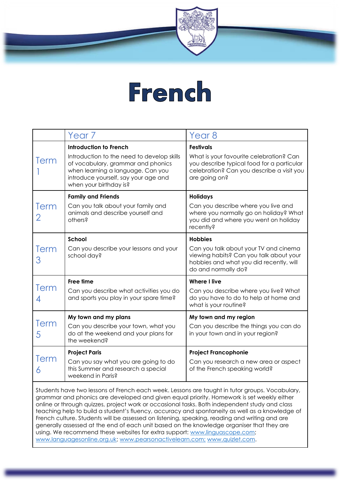

#### **French**

|                  | Year <sub>7</sub>                                                                                                                                                                                                        | Year <sub>8</sub>                                                                                                                                                       |
|------------------|--------------------------------------------------------------------------------------------------------------------------------------------------------------------------------------------------------------------------|-------------------------------------------------------------------------------------------------------------------------------------------------------------------------|
| Term             | <b>Introduction to French</b><br>Introduction to the need to develop skills<br>of vocabulary, grammar and phonics<br>when learning a language. Can you<br>introduce yourself, say your age and<br>when your birthday is? | <b>Festivals</b><br>What is your favourite celebration? Can<br>you describe typical food for a particular<br>celebration? Can you describe a visit you<br>are going on? |
| Term             | <b>Family and Friends</b><br>Can you talk about your family and<br>animals and describe yourself and<br>others?                                                                                                          | <b>Holidays</b><br>Can you describe where you live and<br>where you normally go on holiday? What<br>you did and where you went on holiday<br>recently?                  |
| <b>Term</b><br>З | School<br>Can you describe your lessons and your<br>school day?                                                                                                                                                          | <b>Hobbies</b><br>Can you talk about your TV and cinema<br>viewing habits? Can you talk about your<br>hobbies and what you did recently, will<br>do and normally do?    |
| <b>Term</b>      | <b>Free time</b><br>Can you describe what activities you do<br>and sports you play in your spare time?                                                                                                                   | <b>Where I live</b><br>Can you describe where you live? What<br>do you have to do to help at home and<br>what is your routine?                                          |
| Term<br>5        | My town and my plans<br>Can you describe your town, what you<br>do at the weekend and your plans for<br>the weekend?                                                                                                     | My town and my region<br>Can you describe the things you can do<br>in your town and in your region?                                                                     |
| Term             | <b>Project Paris</b><br>Can you say what you are going to do<br>this Summer and research a special<br>weekend in Paris?                                                                                                  | <b>Project Francophonie</b><br>Can you research a new area or aspect<br>of the French speaking world?                                                                   |

Students have two lessons of French each week. Lessons are taught in tutor groups. Vocabulary, grammar and phonics are developed and given equal priority. Homework is set weekly either online or through quizzes, project work or occasional tasks. Both independent study and class teaching help to build a student's fluency, accuracy and spontaneity as well as a knowledge of French culture. Students will be assessed on listening, speaking, reading and writing and are generally assessed at the end of each unit based on the knowledge organiser that they are using. We recommend these websites for extra support: [www.linguascope.com;](http://www.linguascope.com/) [www.languagesonline.org.uk;](http://www.languagesonline.org.uk/) [www.pearsonactivelearn.com;](http://www.pearsonactivelearn.com/) [www.quizlet.com.](http://www.quizlet.com/)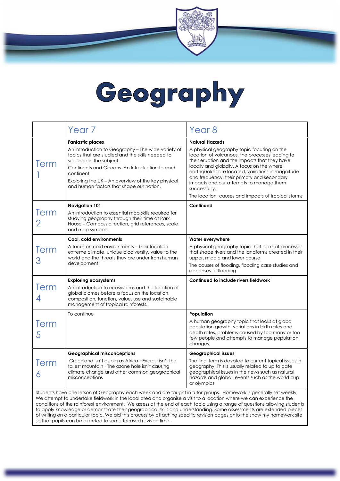### Geography

|           | Year <sub>7</sub>                                                                                                                                                                                                                                                                                                             | Year <sub>8</sub>                                                                                                                                                                                                                                                                                                                                                                                                                           |
|-----------|-------------------------------------------------------------------------------------------------------------------------------------------------------------------------------------------------------------------------------------------------------------------------------------------------------------------------------|---------------------------------------------------------------------------------------------------------------------------------------------------------------------------------------------------------------------------------------------------------------------------------------------------------------------------------------------------------------------------------------------------------------------------------------------|
| Term      | <b>Fantastic places</b><br>An introduction to Geography – The wide variety of<br>topics that are studied and the skills needed to<br>succeed in the subject.<br>Continents and Oceans. An Introduction to each<br>continent<br>Exploring the UK – An overview of the key physical<br>and human factors that shape our nation. | <b>Natural Hazards</b><br>A physical geography topic focusing on the<br>location of volcanoes, the processes leading to<br>their eruption and the impacts that they have<br>locally and globally. A focus on the where<br>earthquakes are located, variations in magnitude<br>and frequency, their primary and secondary<br>impacts and our attempts to manage them<br>successfully.<br>The location, causes and impacts of tropical storms |
| Term<br>2 | <b>Navigation 101</b><br>An introduction to essential map skills required for<br>studying geography through their time at Park<br>House - Compass direction, grid references, scale<br>and map symbols.                                                                                                                       | Continued                                                                                                                                                                                                                                                                                                                                                                                                                                   |
| Term<br>З | Cool, cold environments<br>A focus on cold environments - Their location<br>extreme climate, unique biodiversity, value to the<br>world and the threats they are under from human<br>development                                                                                                                              | Water everywhere<br>A physical geography topic that looks at processes<br>that shape rivers and the landforms created in their<br>upper, middle and lower course.<br>The causes of flooding, flooding case studies and<br>responses to flooding                                                                                                                                                                                             |
| Term      | <b>Exploring ecosystems</b><br>An introduction to ecosystems and the location of<br>global biomes before a focus on the location,<br>composition, function, value, use and sustainable<br>management of tropical rainforests.                                                                                                 | Continued to include rivers fieldwork                                                                                                                                                                                                                                                                                                                                                                                                       |
| Term<br>5 | To continue                                                                                                                                                                                                                                                                                                                   | Population<br>A human geography topic that looks at global<br>population growth, variations in birth rates and<br>death rates, problems caused by too many or too<br>few people and attempts to manage population<br>changes.                                                                                                                                                                                                               |
| Term<br>6 | <b>Geographical misconceptions</b><br>Greenland isn't as big as Africa $\cdot$ Everest isn't the<br>tallest mountain · The ozone hole isn't causing<br>climate change and other common geographical<br>misconceptions                                                                                                         | <b>Geographical issues</b><br>The final term is devoted to current topical issues in<br>geography. This is usually related to up to date<br>geographical issues in the news such as natural<br>hazards and global events such as the world cup<br>or olympics.                                                                                                                                                                              |
|           | Students have one lesson of Geography each week and are taught in tutor groups. Homework is generally set weekly.<br>We attempt to undertake fieldwork in the local area and organise a visit to a location where we can experience the                                                                                       | conditions of the rainforest environment. We assess at the end of each topic using a range of questions allowing students                                                                                                                                                                                                                                                                                                                   |

conditions of the rainforest environment. We assess at the end of each topic using a range of questions allowing students to apply knowledge or demonstrate their geographical skills and understanding. Some assessments are extended pieces of writing on a particular topic. We aid this process by attaching specific revision pages onto the show my homework site so that pupils can be directed to some focused revision time.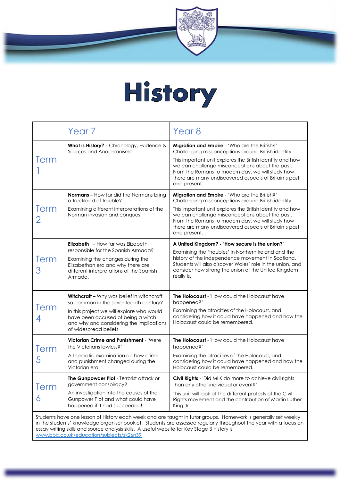

## History

|                                                                                                                                                                                                                                                                                                                                                                                 | Year <sub>7</sub>                                                                                                                                                                                                                           | Year <sub>8</sub>                                                                                                                                                                                                                                                                                                                                |
|---------------------------------------------------------------------------------------------------------------------------------------------------------------------------------------------------------------------------------------------------------------------------------------------------------------------------------------------------------------------------------|---------------------------------------------------------------------------------------------------------------------------------------------------------------------------------------------------------------------------------------------|--------------------------------------------------------------------------------------------------------------------------------------------------------------------------------------------------------------------------------------------------------------------------------------------------------------------------------------------------|
| <b>Term</b>                                                                                                                                                                                                                                                                                                                                                                     | What is History? - Chronology, Evidence &<br>Sources and Anachronisms                                                                                                                                                                       | Migration and Empire - 'Who are the British?'<br>Challenging misconceptions around British identity<br>This important unit explores the British identity and how<br>we can challenge misconceptions about the past.<br>From the Romans to modern day, we will study how<br>there are many undiscovered aspects of Britain's past<br>and present. |
| Term                                                                                                                                                                                                                                                                                                                                                                            | Normans - How far did the Normans bring<br>a truckload of trouble?<br>Examining different interpretations of the<br>Norman invasion and conquest                                                                                            | Migration and Empire - 'Who are the British?'<br>Challenging misconceptions around British identity<br>This important unit explores the British identity and how<br>we can challenge misconceptions about the past.<br>From the Romans to modern day, we will study how<br>there are many undiscovered aspects of Britain's past<br>and present. |
| Term<br>З                                                                                                                                                                                                                                                                                                                                                                       | <b>Elizabeth</b> $I - How$ far was Elizabeth<br>responsible for the Spanish Armada?<br>Examining the changes during the<br>Elizabethan era and why there are<br>different interpretations of the Spanish<br>Armada.                         | A United Kingdom? - 'How secure is the union?'<br>Examining the 'troubles' in Northern Ireland and the<br>history of the independence movement in Scotland.<br>Students will also discover Wales' role in the union, and<br>consider how strong the union of the United Kingdom<br>really is.                                                    |
| Term                                                                                                                                                                                                                                                                                                                                                                            | Witchcraft - Why was belief in witchcraft<br>so common in the seventeenth century?<br>In this project we will explore who would<br>have been accused of being a witch<br>and why and considering the implications<br>of widespread beliefs. | The Holocaust - 'How could the Holocaust have<br>happened?'<br>Examining the atrocities of the Holocaust, and<br>considering how it could have happened and how the<br>Holocaust could be remembered.                                                                                                                                            |
| <b>Term</b><br>5                                                                                                                                                                                                                                                                                                                                                                | Victorian Crime and Punishment - 'Were<br>the Victorians lawless?'<br>A thematic examination on how crime<br>and punishment changed during the<br>Victorian era.                                                                            | <b>The Holocaust</b> - 'How could the Holocaust have<br>happened?'<br>Examining the atrocities of the Holocaust, and<br>considering how it could have happened and how the<br>Holocaust could be remembered.                                                                                                                                     |
| Term<br>6                                                                                                                                                                                                                                                                                                                                                                       | The Gunpowder Plot - Terrorist attack or<br>government conspiracy?<br>An investigation into the causes of the<br>Gunpower Plot and what could have<br>happened if it had succeeded!                                                         | Civil Rights - 'Did MLK do more to achieve civil rights<br>than any other individual or event?'<br>This unit will look at the different protests of the Civil<br>Rights movement and the contribution of Martin Luther<br>King Jr.                                                                                                               |
| Students have one lesson of History each week and are taught in tutor groups. Homework is generally set weekly<br>in the students' knowledge organiser booklet. Students are assessed regularly throughout the year with a focus on<br>essay writing skills and source analysis skills. A useful website for Key Stage 3 History is<br>www.bbc.co.uk/education/subjects/zk26n39 |                                                                                                                                                                                                                                             |                                                                                                                                                                                                                                                                                                                                                  |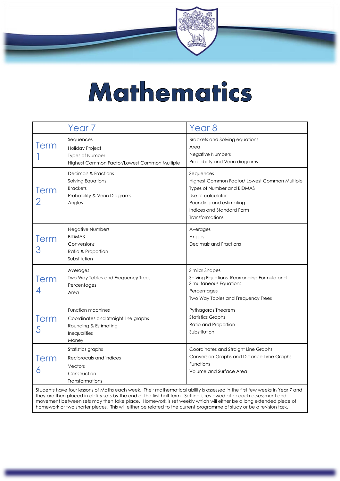

### Mathematics

|           | Year 7                                                                                                                                                                                                                   | Year 8                                                                                                                                                                                                 |
|-----------|--------------------------------------------------------------------------------------------------------------------------------------------------------------------------------------------------------------------------|--------------------------------------------------------------------------------------------------------------------------------------------------------------------------------------------------------|
| Term      | Sequences<br>Holiday Project<br><b>Types of Number</b><br>Highest Common Factor/Lowest Common Multiple                                                                                                                   | Brackets and Solving equations<br>Area<br><b>Negative Numbers</b><br>Probability and Venn diagrams                                                                                                     |
| Term      | Decimals & Fractions<br>Solving Equations<br><b>Brackets</b><br>Probability & Venn Diagrams<br>Angles                                                                                                                    | Sequences<br>Highest Common Factor/ Lowest Common Multiple<br><b>Types of Number and BIDMAS</b><br>Use of calculator<br>Rounding and estimating<br>Indices and Standard Form<br><b>Transformations</b> |
| Term<br>З | <b>Negative Numbers</b><br><b>BIDMAS</b><br>Conversions<br>Ratio & Proportion<br>Substitution                                                                                                                            | Averages<br>Angles<br>Decimals and Fractions                                                                                                                                                           |
| Term      | Averages<br>Two Way Tables and Frequency Trees<br>Percentages<br>Area                                                                                                                                                    | Similar Shapes<br>Solving Equations, Rearranging Formula and<br>Simultaneous Equations<br>Percentages<br>Two Way Tables and Frequency Trees                                                            |
| Term<br>5 | <b>Function machines</b><br>Coordinates and Straight line graphs<br>Rounding & Estimating<br>Inequalities<br>Money                                                                                                       | Pythagoras Theorem<br><b>Statistics Graphs</b><br>Ratio and Proportion<br>Substitution                                                                                                                 |
| Term<br>6 | Statistics graphs<br>Reciprocals and indices<br>Vectors<br>Construction<br>Transformations<br>Students have four lessons of Maths each week. Their mathematical ability is assessed in the first few weeks in Year 7 and | Coordinates and Straight Line Graphs<br>Conversion Graphs and Distance Time Graphs<br>Functions<br>Volume and Surface Area                                                                             |

Students have four lessons of Maths each week. Their mathematical ability is assessed in the first few weeks in Year 7 and they are then placed in ability sets by the end of the first half term. Setting is reviewed after each assessment and movement between sets may then take place. Homework is set weekly which will either be a long extended piece of homework or two shorter pieces. This will either be related to the current programme of study or be a revision task.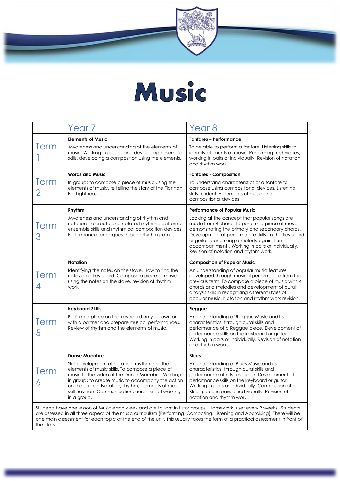

#### Music

|                  | Year <sub>7</sub>                                                                                                                                                                                                                                                                                                                                                                | Year 8                                                                                                                                                                                                                                                                                                                                                                                     |
|------------------|----------------------------------------------------------------------------------------------------------------------------------------------------------------------------------------------------------------------------------------------------------------------------------------------------------------------------------------------------------------------------------|--------------------------------------------------------------------------------------------------------------------------------------------------------------------------------------------------------------------------------------------------------------------------------------------------------------------------------------------------------------------------------------------|
| Term             | <b>Elements of Music</b><br>Awareness and understanding of the elements of<br>music. Working in groups and developing ensemble<br>skills, developing a composition using the elements.                                                                                                                                                                                           | <b>Fanfares - Performance</b><br>To be able to perform a fanfare. Listening skills to<br>identify elements of music. Performing techniques,<br>working in pairs or individually. Revision of notation<br>and rhythm work.                                                                                                                                                                  |
| Term             | <b>Words and Music</b><br>In groups to compose a piece of music using the<br>elements of music, re telling the story of the Flannan<br>Isle Lighthouse.                                                                                                                                                                                                                          | <b>Fanfares - Composition</b><br>To understand characteristics of a fanfare to<br>compose using compositional devices. Listening<br>skills to identify elements of music and<br>compositional devices                                                                                                                                                                                      |
| Term<br>З        | Rhythm<br>Awareness and understanding of rhythm and<br>notation. To create and notated rhythmic patterns,<br>ensemble skills and rhythmical composition devices.<br>Performance techniques through rhythm games.                                                                                                                                                                 | <b>Performance of Popular Music</b><br>Looking at the concept that popular songs are<br>made from 4 chords. To perform a piece of music<br>demonstrating the primary and secondary chords.<br>Development of performance skills on the keyboard<br>or guitar (performing a melody against an<br>accompaniment), Working in pairs or individually.<br>Revision of notation and rhythm work. |
| Term             | <b>Notation</b><br>Identifying the notes on the stave. How to find the<br>notes on a keyboard. Compose a piece of music<br>using the notes on the stave, revision of rhythm<br>work.                                                                                                                                                                                             | <b>Composition of Popular Music</b><br>An understanding of popular music features<br>developed through musical performance from the<br>previous term. To compose a piece of music with 4<br>chords and melodies and development of aural<br>analysis skills in recognising different styles of<br>popular music. Notation and rhythm work revision.                                        |
| Term<br>5        | <b>Keyboard Skills</b><br>Perform a piece on the keyboard on your own or<br>with a partner and prepare musical performances.<br>Review of rhythm and the elements of music.                                                                                                                                                                                                      | Reggae<br>An understanding of Reggae Music and its<br>characteristics, through aural skills and<br>performance of a Reggae piece. Development of<br>performance skills on the keyboard or guitar.<br>Working in pairs or individually. Revision of notation<br>and rhythm work.                                                                                                            |
| <b>lerm</b><br>6 | <b>Danse Macabre</b><br>Skill development of notation, rhythm and the<br>elements of music skills. To compose a piece of<br>music to the video of the Danse Macabre. Working<br>in groups to create music to accompany the action<br>on the screen. Notation, rhythm, elements of music<br>skills revision. Communication, aural skills of working<br>in a group,                | <b>Blues</b><br>An understanding of Blues Music and its<br>characteristics, through aural skills and<br>performance of a Blues piece. Development of<br>performance skills on the keyboard or guitar.<br>Working in pairs or individually. Composition of a<br>Blues piece in pairs or individually. Revision of<br>notation and rhythm work.                                              |
|                  | Students have one lesson of Music each week and are taught in tutor groups. Homework is set every 2 weeks. Students<br>are assessed in all three aspect of the music curriculum (Performing, Composing, Listening and Appraising). There will be<br>one main assessment for each topic at the end of the unit. This usually takes the form of a practical assessment in front of |                                                                                                                                                                                                                                                                                                                                                                                            |

the class.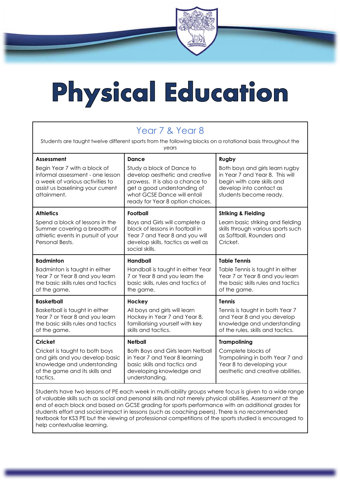# Physical Education

| Year 7 & Year 8<br>Students are taught twelve different sports from the following blocks on a rotational basis throughout the<br>years                  |                                                                                                                                                                                                  |                                                                                                                                                       |  |
|---------------------------------------------------------------------------------------------------------------------------------------------------------|--------------------------------------------------------------------------------------------------------------------------------------------------------------------------------------------------|-------------------------------------------------------------------------------------------------------------------------------------------------------|--|
| Assessment                                                                                                                                              | Dance                                                                                                                                                                                            | Rugby                                                                                                                                                 |  |
| Begin Year 7 with a block of<br>informal assessment - one lesson<br>a week of various activities to<br>assist us baselining your current<br>attainment. | Study a block of Dance to<br>develop aesthetic and creative<br>prowess. It is also a chance to<br>get a good understanding of<br>what GCSE Dance will entail<br>ready for Year 8 option choices. | Both boys and girls learn rugby<br>in Year 7 and Year 8. This will<br>begin with core skills and<br>develop into contact as<br>students become ready. |  |
| <b>Athletics</b>                                                                                                                                        | <b>Football</b>                                                                                                                                                                                  | <b>Striking &amp; Fielding</b>                                                                                                                        |  |
| Spend a block of lessons in the<br>Summer covering a breadth of<br>athletic events in pursuit of your<br>Personal Bests.                                | Boys and Girls will complete a<br>block of lessons in football in<br>Year 7 and Year 8 and you will<br>develop skills, tactics as well as<br>social skills.                                      | Learn basic striking and fielding<br>skills through various sports such<br>as Softball, Rounders and<br>Cricket.                                      |  |
| <b>Badminton</b>                                                                                                                                        | <b>Handball</b>                                                                                                                                                                                  | <b>Table Tennis</b>                                                                                                                                   |  |
| Badminton is taught in either<br>Year 7 or Year 8 and you learn<br>the basic skills rules and tactics<br>of the game.                                   | Handball is taught in either Year<br>7 or Year 8 and you learn the<br>basic skills, rules and tactics of<br>the game.                                                                            | Table Tennis is taught in either<br>Year 7 or Year 8 and you learn<br>the basic skills rules and tactics<br>of the game.                              |  |
| <b>Basketball</b>                                                                                                                                       | Hockey                                                                                                                                                                                           | <b>Tennis</b>                                                                                                                                         |  |
| Basketball is taught in either<br>Year 7 or Year 8 and you learn<br>the basic skills rules and tactics<br>of the game.                                  | All boys and girls will learn<br>Hockey in Year 7 and Year 8,<br>familiarising yourself with key<br>skills and tactics.                                                                          | Tennis is taught in both Year 7<br>and Year 8 and you develop<br>knowledge and understanding<br>of the rules, skills and tactics.                     |  |
| Cricket                                                                                                                                                 | <b>Netball</b>                                                                                                                                                                                   | <b>Trampolining</b>                                                                                                                                   |  |
| Cricket is taught to both boys<br>and girls and you develop basic<br>knowledge and understanding<br>of the game and its skills and<br>tactics.          | <b>Both Boys and Girls learn Netball</b><br>in Year 7 and Year 8 learning<br>basic skills and tactics and<br>developing knowledge and<br>understanding.                                          | Complete blocks of<br>Trampolining in both Year 7 and<br>Year 8 to developing your<br>aesthetic and creative abilities.                               |  |

Students have two lessons of PE each week in multi-ability groups where focus is given to a wide range of valuable skills such as social and personal skills and not merely physical abilities. Assessment at the end of each block and based on GCSE grading for sports performance with an additional grades for students effort and social impact in lessons (such as coaching peers). There is no recommended textbook for KS3 PE but the viewing of professional competitions of the sports studied is encouraged to help contextualise learning.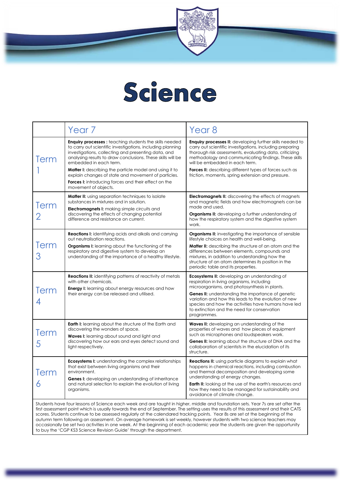

### Science

|                                                                                                                                                                                                                                                                                                                                                                                                                                                                                                                                                                                                                                                                                                                                            | Year <sub>7</sub>                                                                                                                                                                                                                                                                                                                                                                                                                                                                    | Year 8                                                                                                                                                                                                                                                                                                                                                                                            |
|--------------------------------------------------------------------------------------------------------------------------------------------------------------------------------------------------------------------------------------------------------------------------------------------------------------------------------------------------------------------------------------------------------------------------------------------------------------------------------------------------------------------------------------------------------------------------------------------------------------------------------------------------------------------------------------------------------------------------------------------|--------------------------------------------------------------------------------------------------------------------------------------------------------------------------------------------------------------------------------------------------------------------------------------------------------------------------------------------------------------------------------------------------------------------------------------------------------------------------------------|---------------------------------------------------------------------------------------------------------------------------------------------------------------------------------------------------------------------------------------------------------------------------------------------------------------------------------------------------------------------------------------------------|
| Term                                                                                                                                                                                                                                                                                                                                                                                                                                                                                                                                                                                                                                                                                                                                       | <b>Enquiry processes:</b> teaching students the skills needed<br>to carry out scientific investigations, including planning<br>investigations, collecting and presenting data, and<br>analysing results to draw conclusions. These skills will be<br>embedded in each term.<br>Matter I: describing the particle model and using it to<br>explain changes of state and movement of particles.<br><b>Forces I:</b> introducing forces and their effect on the<br>movement of objects. | <b>Enquiry processes II:</b> developing further skills needed to<br>carry out scientific investigations, including preparing<br>thorough risk assessments, evaluating data, criticizing<br>methodology and communicating findings. These skills<br>will be embedded in each term.<br>Forces II: describing different types of forces such as<br>friction, moments, spring extension and pressure. |
| Term                                                                                                                                                                                                                                                                                                                                                                                                                                                                                                                                                                                                                                                                                                                                       | <b>Matter II:</b> using separation techniques to isolate<br>substances in mixtures and in solution.<br><b>Electromagnets I:</b> making simple circuits and<br>discovering the effects of changing potential<br>difference and resistance on current.                                                                                                                                                                                                                                 | <b>Electromagnets II:</b> discovering the effects of magnets<br>and magnetic fields and how electromagnets can be<br>made and used.<br><b>Organisms II:</b> developing a further understanding of<br>how the respiratory system and the digestive system<br>work.                                                                                                                                 |
| Term<br>З                                                                                                                                                                                                                                                                                                                                                                                                                                                                                                                                                                                                                                                                                                                                  | <b>Reactions I:</b> identifying acids and alkalis and carrying<br>out neutralisation reactions.<br><b>Organisms I:</b> learning about the functioning of the<br>respiratory and digestive system to develop an<br>understanding of the importance of a healthy lifestyle.                                                                                                                                                                                                            | <b>Organisms II:</b> investigating the importance of sensible<br>lifestyle choices on health and well-being.<br><b>Matter II:</b> describing the structure of an atom and the<br>differences between elements, compounds and<br>mixtures, in addition to understanding how the<br>structure of an atom determines its position in the<br>periodic table and its properties.                       |
| Term                                                                                                                                                                                                                                                                                                                                                                                                                                                                                                                                                                                                                                                                                                                                       | <b>Reactions II:</b> identifying patterns of reactivity of metals<br>with other chemicals.<br><b>Energy I:</b> learning about energy resources and how<br>their energy can be released and utilised.                                                                                                                                                                                                                                                                                 | <b>Ecosystems II:</b> developing an understanding of<br>respiration in living organisms, including<br>microorganisms, and photosynthesis in plants.<br><b>Genes II:</b> understanding the importance of genetic<br>variation and how this leads to the evolution of new<br>species and how the activities have humans have led<br>to extinction and the need for conservation<br>programmes.      |
| Term<br>5                                                                                                                                                                                                                                                                                                                                                                                                                                                                                                                                                                                                                                                                                                                                  | <b>Earth I:</b> learning about the structure of the Earth and<br>discovering the wonders of space.<br><b>Waves I:</b> learning about sound and light and<br>discovering how our ears and eyes detect sound and<br>light respectively.                                                                                                                                                                                                                                                | <b>Waves II:</b> developing an understanding of the<br>properties of waves and how pieces of equipment<br>such as microphones and loudspeakers work.<br><b>Genes II:</b> learning about the structure of DNA and the<br>collaboration of scientists in the elucidation of its<br>structure.                                                                                                       |
| Term<br>6                                                                                                                                                                                                                                                                                                                                                                                                                                                                                                                                                                                                                                                                                                                                  | <b>Ecosystems I:</b> understanding the complex relationships<br>that exist between living organisms and their<br>environment.<br><b>Genes I:</b> developing an understanding of inheritance<br>and natural selection to explain the evolution of living<br>organisms.                                                                                                                                                                                                                | <b>Reactions II:</b> using particle diagrams to explain what<br>happens in chemical reactions, including combustion<br>and thermal decomposition and developing some<br>understanding of energy changes.<br><b>Earth II:</b> looking at the use of the earth's resources and<br>how they need to be managed for sustainability and<br>avoidance of climate change.                                |
| Students have four lessons of Science each week and are taught in higher, middle and foundation sets. Year 7s are set after the<br>first assessment point which is usually towards the end of September. The setting uses the results of this assessment and their CATS<br>scores. Students continue to be assessed regularly at the calendared tracking points. Year 8s are set at the beginning of the<br>autumn term following an assessment. On average homework is set weekly, however students with two science teachers may<br>occasionally be set two activities in one week. At the beginning of each academic year the students are given the opportunity<br>to buy the 'CGP KS3 Science Revision Guide' through the department. |                                                                                                                                                                                                                                                                                                                                                                                                                                                                                      |                                                                                                                                                                                                                                                                                                                                                                                                   |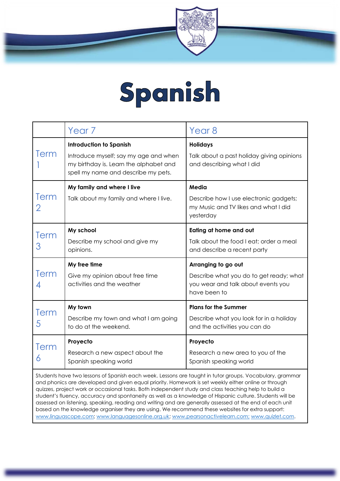

### Spanish

|           | Year <sub>7</sub>                                                                                                                                        | Year 8                                                                                                               |
|-----------|----------------------------------------------------------------------------------------------------------------------------------------------------------|----------------------------------------------------------------------------------------------------------------------|
| Term      | <b>Introduction to Spanish</b><br>Introduce myself; say my age and when<br>my birthday is. Learn the alphabet and<br>spell my name and describe my pets. | <b>Holidays</b><br>Talk about a past holiday giving opinions<br>and describing what I did                            |
| Term<br>2 | My family and where I live<br>Talk about my family and where I live.                                                                                     | Media<br>Describe how I use electronic gadgets;<br>my Music and TV likes and what I did<br>yesterday                 |
| Term<br>З | My school<br>Describe my school and give my<br>opinions.                                                                                                 | Eating at home and out<br>Talk about the food I eat; order a meal<br>and describe a recent party                     |
| Term<br>4 | My free time<br>Give my opinion about free time<br>activities and the weather                                                                            | Arranging to go out<br>Describe what you do to get ready; what<br>you wear and talk about events you<br>have been to |
| Term<br>5 | My town<br>Describe my town and what I am going<br>to do at the weekend.                                                                                 | <b>Plans for the Summer</b><br>Describe what you look for in a holiday<br>and the activities you can do              |
|           | Proyecto                                                                                                                                                 | Proyecto                                                                                                             |
|           |                                                                                                                                                          |                                                                                                                      |

and phonics are developed and given equal priority. Homework is set weekly either online or through quizzes, project work or occasional tasks. Both independent study and class teaching help to build a student's fluency, accuracy and spontaneity as well as a knowledge of Hispanic culture. Students will be assessed on listening, speaking, reading and writing and are generally assessed at the end of each unit based on the knowledge organiser they are using. We recommend these websites for extra support: [www.linguascope.com;](http://www.linguascope.com/) [www.languagesonline.org.uk;](http://www.languagesonline.org.uk/) [www.pearsonactivelearn.com;](http://www.pearsonactivelearn.com/) [www.quizlet.com.](http://www.quizlet.com/)